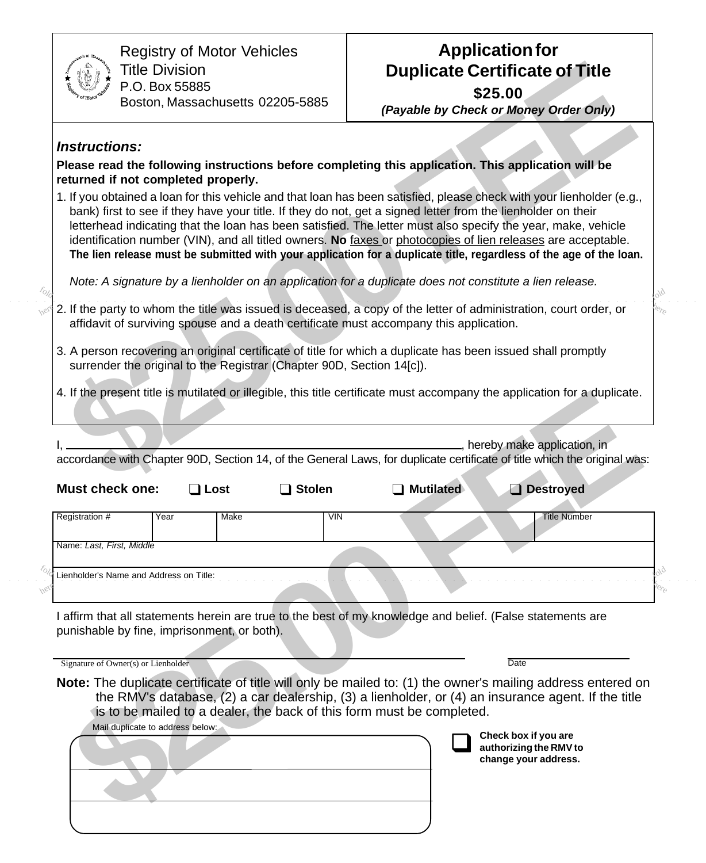| <b>September 211</b> | <b>Tlassagenting</b><br>٥ |  |
|----------------------|---------------------------|--|
| Testerry.            | Toron Deliver             |  |

Registry of Motor Vehicles Title Division P.O. Box 55885 Boston, Massachusetts 02205-5885

## **Application for Duplicate Certificate of Title \$25.00**

## **Instructions:**

- 2. If the party to whom the title was issued is deceased, a copy of the letter of administration, court order, or affidavit of surviving spouse and a death certificate must accompany this application. here ○ ○ ○ ○ ○ ○ ○ ○ ○ ○ ○ ○ ○ ○ ○ ○ ○ ○ ○ ○ ○ ○ ○ ○ ○ ○ ○ ○ ○○○○○○○○○○○○○○○○○○○○○○○○○○○○○○○○○○○○ ○○○○○○○○○○○○○○○○
	- 3. A person recovering an original certificate of title for which a duplicate has been issued shall promptly surrender the original to the Registrar (Chapter 90D, Section 14[c]).

|                                                                                                                                                         | <b>Title Division</b><br>P.O. Box 55885<br>Boston, Massachusetts 02205-5885                                                                              | <b>Duplicate Certificate of Title</b><br>\$25.00<br>(Payable by Check or Money Order Only)                                                                                                                                                                                                                                                                                                                                                                                                                                                                                                  |
|---------------------------------------------------------------------------------------------------------------------------------------------------------|----------------------------------------------------------------------------------------------------------------------------------------------------------|---------------------------------------------------------------------------------------------------------------------------------------------------------------------------------------------------------------------------------------------------------------------------------------------------------------------------------------------------------------------------------------------------------------------------------------------------------------------------------------------------------------------------------------------------------------------------------------------|
| <b>Instructions:</b>                                                                                                                                    |                                                                                                                                                          |                                                                                                                                                                                                                                                                                                                                                                                                                                                                                                                                                                                             |
|                                                                                                                                                         | returned if not completed properly.                                                                                                                      | Please read the following instructions before completing this application. This application will be                                                                                                                                                                                                                                                                                                                                                                                                                                                                                         |
|                                                                                                                                                         |                                                                                                                                                          | 1. If you obtained a loan for this vehicle and that loan has been satisfied, please check with your lienholder (e.g.,<br>bank) first to see if they have your title. If they do not, get a signed letter from the lienholder on their<br>letterhead indicating that the loan has been satisfied. The letter must also specify the year, make, vehicle<br>identification number (VIN), and all titled owners. No faxes or photocopies of lien releases are acceptable.<br>The lien release must be submitted with your application for a duplicate title, regardless of the age of the loan. |
|                                                                                                                                                         |                                                                                                                                                          | Note: A signature by a lienholder on an application for a duplicate does not constitute a lien release.                                                                                                                                                                                                                                                                                                                                                                                                                                                                                     |
|                                                                                                                                                         | affidavit of surviving spouse and a death certificate must accompany this application.                                                                   | 2. If the party to whom the title was issued is deceased, a copy of the letter of administration, court order, or                                                                                                                                                                                                                                                                                                                                                                                                                                                                           |
|                                                                                                                                                         | surrender the original to the Registrar (Chapter 90D, Section 14[c]).                                                                                    | 3. A person recovering an original certificate of title for which a duplicate has been issued shall promptly                                                                                                                                                                                                                                                                                                                                                                                                                                                                                |
|                                                                                                                                                         |                                                                                                                                                          | 4. If the present title is mutilated or illegible, this title certificate must accompany the application for a duplicate.                                                                                                                                                                                                                                                                                                                                                                                                                                                                   |
|                                                                                                                                                         | <b>Stolen</b><br>$\Box$ Lost                                                                                                                             | , hereby make application, in<br>accordance with Chapter 90D, Section 14, of the General Laws, for duplicate certificate of title which the original was:<br><b>Mutilated</b><br>Destroyed                                                                                                                                                                                                                                                                                                                                                                                                  |
|                                                                                                                                                         | Year<br>Make                                                                                                                                             | VIN<br><b>Title Number</b>                                                                                                                                                                                                                                                                                                                                                                                                                                                                                                                                                                  |
|                                                                                                                                                         |                                                                                                                                                          |                                                                                                                                                                                                                                                                                                                                                                                                                                                                                                                                                                                             |
|                                                                                                                                                         |                                                                                                                                                          |                                                                                                                                                                                                                                                                                                                                                                                                                                                                                                                                                                                             |
| <b>Must check one:</b><br>Registration #<br>Name: Last, First, Middle<br>Lienholder's Name and Address on Title:<br>Signature of Owner(s) or Lienholder | punishable by fine, imprisonment, or both).<br>is to be mailed to a dealer, the back of this form must be completed.<br>Mail duplicate to address below: | I affirm that all statements herein are true to the best of my knowledge and belief. (False statements are<br>Date<br>Note: The duplicate certificate of title will only be mailed to: (1) the owner's mailing address entered on<br>the RMV's database, (2) a car dealership, (3) a lienholder, or (4) an insurance agent. If the title<br>Check box if you are<br>authorizing the RMV to<br>change your address.                                                                                                                                                                          |